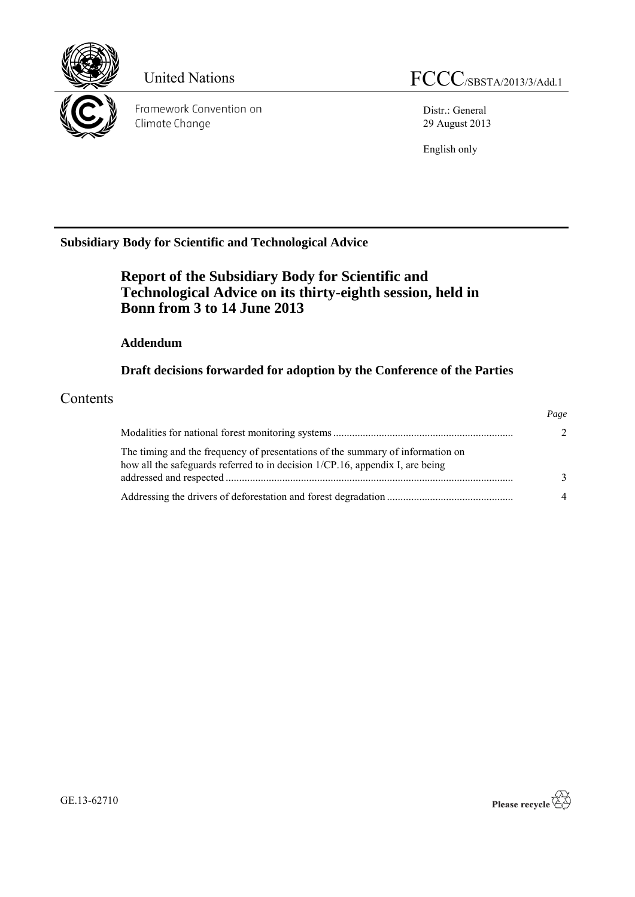

Framework Convention on Climate Change

Distr.: General 29 August 2013

English only

## **Subsidiary Body for Scientific and Technological Advice**

# **Report of the Subsidiary Body for Scientific and Technological Advice on its thirty-eighth session, held in Bonn from 3 to 14 June 2013**

#### **Addendum**

**Draft decisions forwarded for adoption by the Conference of the Parties** 

### Contents

|                                                                                                                                                                 | Page          |
|-----------------------------------------------------------------------------------------------------------------------------------------------------------------|---------------|
|                                                                                                                                                                 | $\mathcal{L}$ |
| The timing and the frequency of presentations of the summary of information on<br>how all the safeguards referred to in decision 1/CP.16, appendix I, are being |               |
|                                                                                                                                                                 | $\mathbf{R}$  |
|                                                                                                                                                                 | 4             |

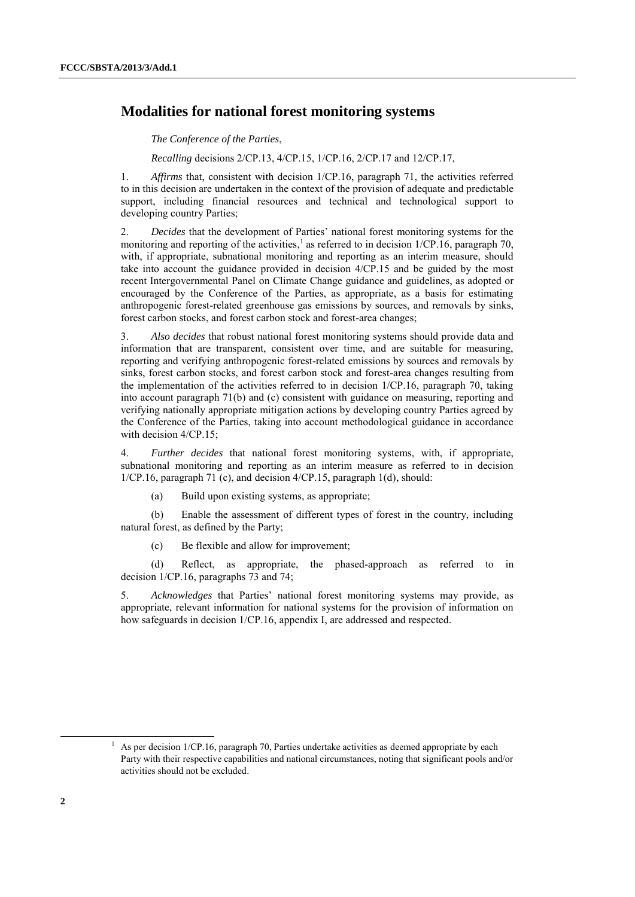#### **Modalities for national forest monitoring systems**

*The Conference of the Parties*,

*Recalling* decisions 2/CP.13, 4/CP.15, 1/CP.16, 2/CP.17 and 12/CP.17,

1. *Affirms* that, consistent with decision 1/CP.16, paragraph 71, the activities referred to in this decision are undertaken in the context of the provision of adequate and predictable support, including financial resources and technical and technological support to developing country Parties;

2. *Decides* that the development of Parties' national forest monitoring systems for the monitoring and reporting of the activities,<sup>1</sup> as referred to in decision 1/CP.16, paragraph 70, with, if appropriate, subnational monitoring and reporting as an interim measure, should take into account the guidance provided in decision 4/CP.15 and be guided by the most recent Intergovernmental Panel on Climate Change guidance and guidelines, as adopted or encouraged by the Conference of the Parties, as appropriate, as a basis for estimating anthropogenic forest-related greenhouse gas emissions by sources, and removals by sinks, forest carbon stocks, and forest carbon stock and forest-area changes;

3. *Also decides* that robust national forest monitoring systems should provide data and information that are transparent, consistent over time, and are suitable for measuring, reporting and verifying anthropogenic forest-related emissions by sources and removals by sinks, forest carbon stocks, and forest carbon stock and forest-area changes resulting from the implementation of the activities referred to in decision 1/CP.16, paragraph 70, taking into account paragraph 71(b) and (c) consistent with guidance on measuring, reporting and verifying nationally appropriate mitigation actions by developing country Parties agreed by the Conference of the Parties, taking into account methodological guidance in accordance with decision  $4/CP.15$ ;

4. *Further decides* that national forest monitoring systems, with, if appropriate, subnational monitoring and reporting as an interim measure as referred to in decision 1/CP.16, paragraph 71 (c), and decision 4/CP.15, paragraph 1(d), should:

(a) Build upon existing systems, as appropriate;

(b) Enable the assessment of different types of forest in the country, including natural forest, as defined by the Party;

(c) Be flexible and allow for improvement;

(d) Reflect, as appropriate, the phased-approach as referred to in decision 1/CP.16, paragraphs 73 and 74;

5. *Acknowledges* that Parties' national forest monitoring systems may provide, as appropriate, relevant information for national systems for the provision of information on how safeguards in decision  $1/CP.16$ , appendix I, are addressed and respected.

As per decision 1/CP.16, paragraph 70, Parties undertake activities as deemed appropriate by each Party with their respective capabilities and national circumstances, noting that significant pools and/or activities should not be excluded.

-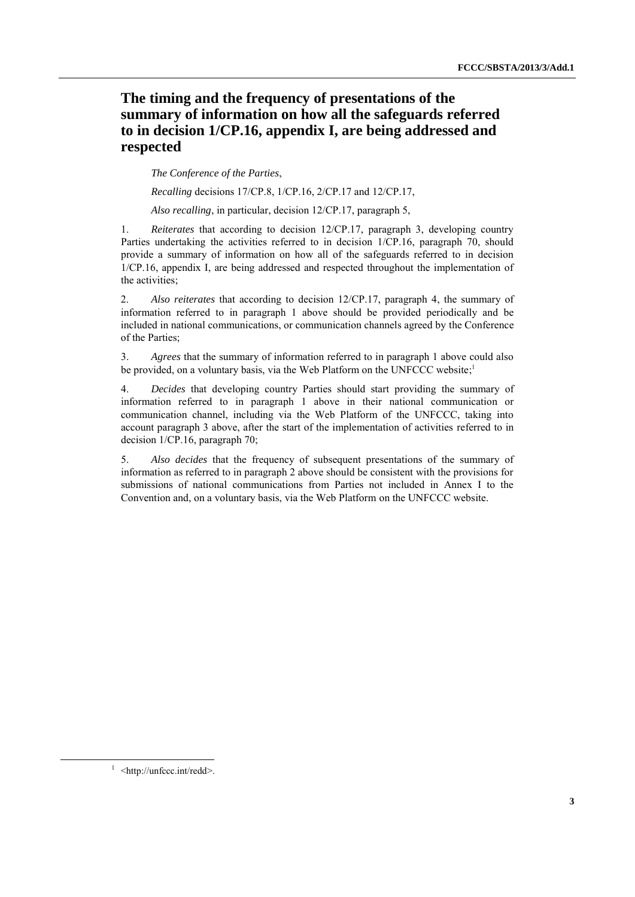### **The timing and the frequency of presentations of the summary of information on how all the safeguards referred to in decision 1/CP.16, appendix I, are being addressed and respected**

*The Conference of the Parties*,

*Recalling* decisions 17/CP.8, 1/CP.16, 2/CP.17 and 12/CP.17,

*Also recalling*, in particular, decision 12/CP.17, paragraph 5,

1. *Reiterates* that according to decision 12/CP.17, paragraph 3, developing country Parties undertaking the activities referred to in decision 1/CP.16, paragraph 70, should provide a summary of information on how all of the safeguards referred to in decision 1/CP.16, appendix I, are being addressed and respected throughout the implementation of the activities;

2. *Also reiterates* that according to decision 12/CP.17, paragraph 4, the summary of information referred to in paragraph 1 above should be provided periodically and be included in national communications, or communication channels agreed by the Conference of the Parties;

3. *Agrees* that the summary of information referred to in paragraph 1 above could also be provided, on a voluntary basis, via the Web Platform on the UNFCCC website;<sup>1</sup>

4. *Decides* that developing country Parties should start providing the summary of information referred to in paragraph 1 above in their national communication or communication channel, including via the Web Platform of the UNFCCC, taking into account paragraph 3 above, after the start of the implementation of activities referred to in decision 1/CP.16, paragraph 70;

5. *Also decides* that the frequency of subsequent presentations of the summary of information as referred to in paragraph 2 above should be consistent with the provisions for submissions of national communications from Parties not included in Annex I to the Convention and, on a voluntary basis, via the Web Platform on the UNFCCC website.

-

<sup>&</sup>lt;sup>1</sup> <http://unfccc.int/redd>.